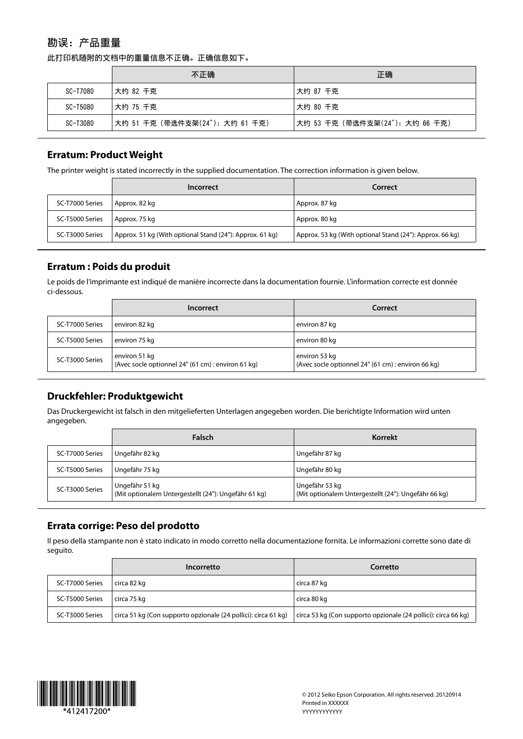# 勘误: 产品重量

此打印机随附的文档中的重量信息不正确。正确信息如下。

|          | 不正确                            | 正确                             |
|----------|--------------------------------|--------------------------------|
| SC-T7080 | 大约 82 千克                       | ⊤大约 87 千克                      |
| SC-T5080 | 大约 75 千克                       | 大约 80 千克                       |
| SC-T3080 | 大约 51 千克(带选件支架(24"): 大约 61 千克) | 大约 53 千克(带选件支架(24"): 大约 66 千克) |

#### **Erratum: Product Weight**

The printer weight is stated incorrectly in the supplied documentation. The correction information is given below.

|                 | Incorrect                                                | Correct                                                  |
|-----------------|----------------------------------------------------------|----------------------------------------------------------|
| SC-T7000 Series | Approx. 82 kg                                            | Approx. 87 kg                                            |
| SC-T5000 Series | l Approx. 75 kg                                          | Approx. 80 kg                                            |
| SC-T3000 Series | Approx. 51 kg (With optional Stand (24"): Approx. 61 kg) | Approx. 53 kg (With optional Stand (24"): Approx. 66 kg) |

#### **Erratum : Poids du produit**

Le poids de l'imprimante est indiqué de manière incorrecte dans la documentation fournie. L'information correcte est donnée ci-dessous.

|                 | Incorrect                                                           | Correct                                                             |
|-----------------|---------------------------------------------------------------------|---------------------------------------------------------------------|
| SC-T7000 Series | environ 82 kg                                                       | environ 87 kg                                                       |
| SC-T5000 Series | environ 75 kg                                                       | environ 80 kg                                                       |
| SC-T3000 Series | environ 51 kg<br>(Avec socle optionnel 24" (61 cm) : environ 61 kg) | environ 53 kg<br>(Avec socle optionnel 24" (61 cm) : environ 66 kg) |

# **Pruckfehler: Produktgewicht**

Das Druckergewicht ist falsch in den mitgelieferten Unterlagen angegeben worden. Die berichtigte Information wird unten .angegeben

|                 | <b>Falsch</b>                                                          | Korrekt                                                                |
|-----------------|------------------------------------------------------------------------|------------------------------------------------------------------------|
| SC-T7000 Series | Ungefähr 82 kg                                                         | Ungefähr 87 kg                                                         |
| SC-T5000 Series | Ungefähr 75 kg                                                         | Ungefähr 80 kg                                                         |
| SC-T3000 Series | Ungefähr 51 kg<br>(Mit optionalem Untergestellt (24"): Ungefähr 61 kg) | Ungefähr 53 kg<br>(Mit optionalem Untergestellt (24"): Ungefähr 66 kg) |

# **Errata corrige: Peso del prodotto**

Il peso della stampante non è stato indicato in modo corretto nella documentazione fornita. Le informazioni corrette sono date di seguito.

|                 | Incorretto                                                     | Corretto                                                       |
|-----------------|----------------------------------------------------------------|----------------------------------------------------------------|
| SC-T7000 Series | circa 82 kg                                                    | circa 87 kg                                                    |
| SC-T5000 Series | circa 75 kg                                                    | circa 80 kg                                                    |
| SC-T3000 Series | circa 51 kg (Con supporto opzionale (24 pollici): circa 61 kg) | circa 53 kg (Con supporto opzionale (24 pollici): circa 66 kg) |